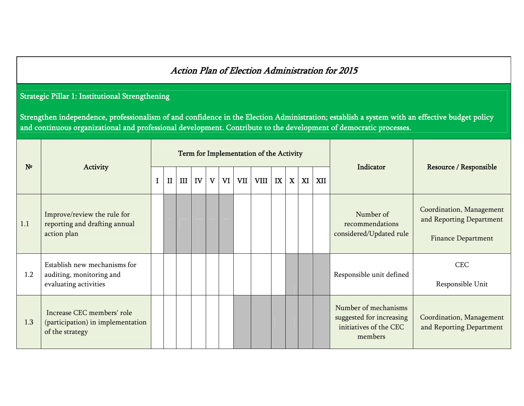## Action Plan of Election Administration for 2015

## Strategic Pillar 1: Institutional Strengthening

Strengthen independence, professionalism of and confidence in the Election Administration; establish a system with an effective budget policy and continuous organizational and professional development. Contribute to the development of democratic processes.

| N <sup>o</sup> |                                                                                    |              |     |    |   |    |     | Term for Implementation of the Activity |    |             |    |     | Indicator                                                                             |                                                                                   |
|----------------|------------------------------------------------------------------------------------|--------------|-----|----|---|----|-----|-----------------------------------------|----|-------------|----|-----|---------------------------------------------------------------------------------------|-----------------------------------------------------------------------------------|
|                | Activity                                                                           | $\mathbf{I}$ | III | IV | V | VI | VII | VIII                                    | IX | $\mathbf X$ | XI | XII |                                                                                       | Resource / Responsible                                                            |
| 1.1            | Improve/review the rule for<br>reporting and drafting annual<br>action plan        |              |     |    |   |    |     |                                         |    |             |    |     | Number of<br>recommendations<br>considered/Updated rule                               | Coordination, Management<br>and Reporting Department<br><b>Finance Department</b> |
| 1.2            | Establish new mechanisms for<br>auditing, monitoring and<br>evaluating activities  |              |     |    |   |    |     |                                         |    |             |    |     | Responsible unit defined                                                              | <b>CEC</b><br>Responsible Unit                                                    |
| 1.3            | Increase CEC members' role<br>(participation) in implementation<br>of the strategy |              |     |    |   |    |     |                                         |    |             |    |     | Number of mechanisms<br>suggested for increasing<br>initiatives of the CEC<br>members | Coordination, Management<br>and Reporting Department                              |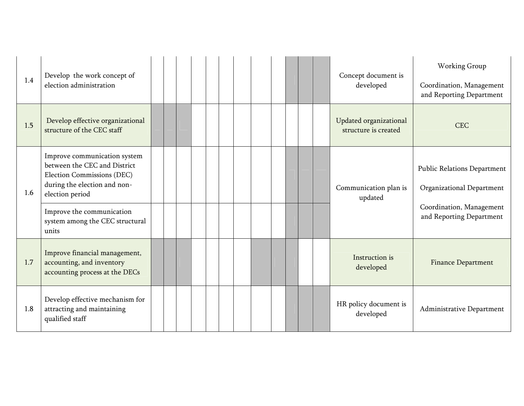| 1.4 | Develop the work concept of<br>election administration                                                                                        |  |  |  |  |  |  | Concept document is<br>developed               | Working Group<br>Coordination, Management<br>and Reporting Department |
|-----|-----------------------------------------------------------------------------------------------------------------------------------------------|--|--|--|--|--|--|------------------------------------------------|-----------------------------------------------------------------------|
| 1.5 | Develop effective organizational<br>structure of the CEC staff                                                                                |  |  |  |  |  |  | Updated organizational<br>structure is created | <b>CEC</b>                                                            |
| 1.6 | Improve communication system<br>between the CEC and District<br>Election Commissions (DEC)<br>during the election and non-<br>election period |  |  |  |  |  |  | Communication plan is<br>updated               | <b>Public Relations Department</b><br>Organizational Department       |
|     | Improve the communication<br>system among the CEC structural<br>units                                                                         |  |  |  |  |  |  |                                                | Coordination, Management<br>and Reporting Department                  |
| 1.7 | Improve financial management,<br>accounting, and inventory<br>accounting process at the DECs                                                  |  |  |  |  |  |  | Instruction is<br>developed                    | <b>Finance Department</b>                                             |
| 1.8 | Develop effective mechanism for<br>attracting and maintaining<br>qualified staff                                                              |  |  |  |  |  |  | HR policy document is<br>developed             | Administrative Department                                             |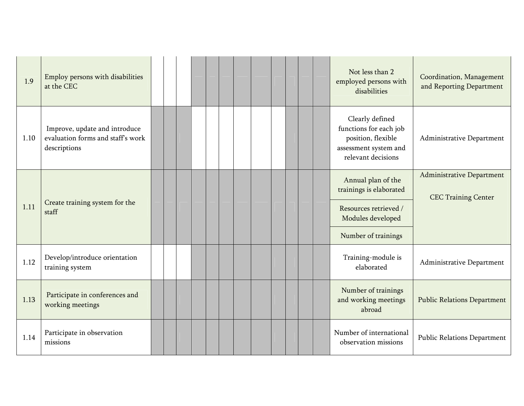| 1.9  | Employ persons with disabilities<br>at the CEC                                     |  |  |  |  |  |  | Not less than 2<br>employed persons with<br>disabilities                                                       | Coordination, Management<br>and Reporting Department    |
|------|------------------------------------------------------------------------------------|--|--|--|--|--|--|----------------------------------------------------------------------------------------------------------------|---------------------------------------------------------|
| 1.10 | Improve, update and introduce<br>evaluation forms and staff's work<br>descriptions |  |  |  |  |  |  | Clearly defined<br>functions for each job<br>position, flexible<br>assessment system and<br>relevant decisions | Administrative Department                               |
|      | Create training system for the                                                     |  |  |  |  |  |  | Annual plan of the<br>trainings is elaborated                                                                  | Administrative Department<br><b>CEC Training Center</b> |
| 1.11 | staff                                                                              |  |  |  |  |  |  | Resources retrieved /<br>Modules developed                                                                     |                                                         |
|      |                                                                                    |  |  |  |  |  |  | Number of trainings                                                                                            |                                                         |
| 1.12 | Develop/introduce orientation<br>training system                                   |  |  |  |  |  |  | Training-module is<br>elaborated                                                                               | Administrative Department                               |
| 1.13 | Participate in conferences and<br>working meetings                                 |  |  |  |  |  |  | Number of trainings<br>and working meetings<br>abroad                                                          | <b>Public Relations Department</b>                      |
| 1.14 | Participate in observation<br>missions                                             |  |  |  |  |  |  | Number of international<br>observation missions                                                                | <b>Public Relations Department</b>                      |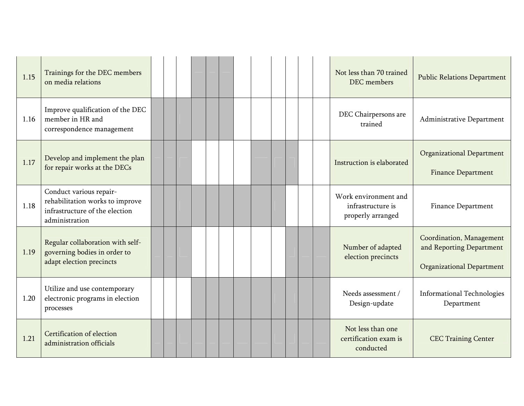| 1.15 | Trainings for the DEC members<br>on media relations                                                            |  |  |  |  |  |  | Not less than 70 trained<br>DEC members                        | <b>Public Relations Department</b>                                                       |
|------|----------------------------------------------------------------------------------------------------------------|--|--|--|--|--|--|----------------------------------------------------------------|------------------------------------------------------------------------------------------|
| 1.16 | Improve qualification of the DEC<br>member in HR and<br>correspondence management                              |  |  |  |  |  |  | DEC Chairpersons are<br>trained                                | Administrative Department                                                                |
| 1.17 | Develop and implement the plan<br>for repair works at the DECs                                                 |  |  |  |  |  |  | Instruction is elaborated                                      | <b>Organizational Department</b><br><b>Finance Department</b>                            |
| 1.18 | Conduct various repair-<br>rehabilitation works to improve<br>infrastructure of the election<br>administration |  |  |  |  |  |  | Work environment and<br>infrastructure is<br>properly arranged | <b>Finance Department</b>                                                                |
| 1.19 | Regular collaboration with self-<br>governing bodies in order to<br>adapt election precincts                   |  |  |  |  |  |  | Number of adapted<br>election precincts                        | Coordination, Management<br>and Reporting Department<br><b>Organizational Department</b> |
| 1.20 | Utilize and use contemporary<br>electronic programs in election<br>processes                                   |  |  |  |  |  |  | Needs assessment /<br>Design-update                            | <b>Informational Technologies</b><br>Department                                          |
| 1.21 | Certification of election<br>administration officials                                                          |  |  |  |  |  |  | Not less than one<br>certification exam is<br>conducted        | <b>CEC Training Center</b>                                                               |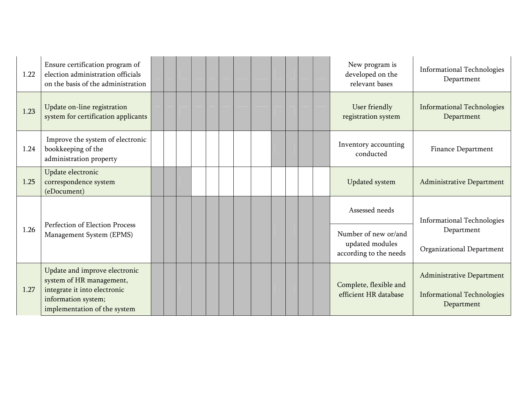| 1.22 | Ensure certification program of<br>election administration officials<br>on the basis of the administration                                       |  |  |  |  |  |  | New program is<br>developed on the<br>relevant bases                                | <b>Informational Technologies</b><br>Department                              |
|------|--------------------------------------------------------------------------------------------------------------------------------------------------|--|--|--|--|--|--|-------------------------------------------------------------------------------------|------------------------------------------------------------------------------|
| 1.23 | Update on-line registration<br>system for certification applicants                                                                               |  |  |  |  |  |  | User friendly<br>registration system                                                | <b>Informational Technologies</b><br>Department                              |
| 1.24 | Improve the system of electronic<br>bookkeeping of the<br>administration property                                                                |  |  |  |  |  |  | Inventory accounting<br>conducted                                                   | <b>Finance Department</b>                                                    |
| 1.25 | Update electronic<br>correspondence system<br>(eDocument)                                                                                        |  |  |  |  |  |  | <b>Updated system</b>                                                               | <b>Administrative Department</b>                                             |
| 1.26 | Perfection of Election Process<br>Management System (EPMS)                                                                                       |  |  |  |  |  |  | Assessed needs<br>Number of new or/and<br>updated modules<br>according to the needs | <b>Informational Technologies</b><br>Department<br>Organizational Department |
| 1.27 | Update and improve electronic<br>system of HR management,<br>integrate it into electronic<br>information system;<br>implementation of the system |  |  |  |  |  |  | Complete, flexible and<br>efficient HR database                                     | Administrative Department<br><b>Informational Technologies</b><br>Department |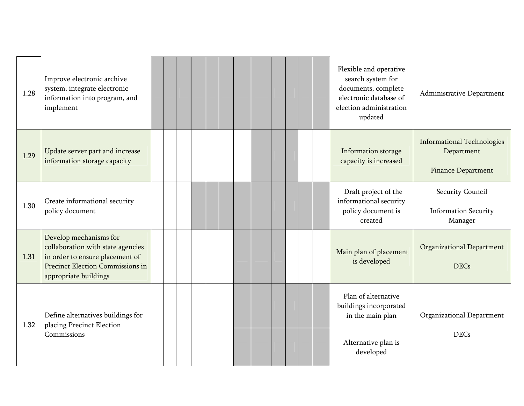| 1.28 | Improve electronic archive<br>system, integrate electronic<br>information into program, and<br>implement                                                    |  |  |  |  |  |  | Flexible and operative<br>search system for<br>documents, complete<br>electronic database of<br>election administration<br>updated | Administrative Department                                                    |
|------|-------------------------------------------------------------------------------------------------------------------------------------------------------------|--|--|--|--|--|--|------------------------------------------------------------------------------------------------------------------------------------|------------------------------------------------------------------------------|
| 1.29 | Update server part and increase<br>information storage capacity                                                                                             |  |  |  |  |  |  | Information storage<br>capacity is increased                                                                                       | <b>Informational Technologies</b><br>Department<br><b>Finance Department</b> |
| 1.30 | Create informational security<br>policy document                                                                                                            |  |  |  |  |  |  | Draft project of the<br>informational security<br>policy document is<br>created                                                    | Security Council<br><b>Information Security</b><br>Manager                   |
| 1.31 | Develop mechanisms for<br>collaboration with state agencies<br>in order to ensure placement of<br>Precinct Election Commissions in<br>appropriate buildings |  |  |  |  |  |  | Main plan of placement<br>is developed                                                                                             | <b>Organizational Department</b><br><b>DECs</b>                              |
| 1.32 | Define alternatives buildings for<br>placing Precinct Election                                                                                              |  |  |  |  |  |  | Plan of alternative<br>buildings incorporated<br>in the main plan                                                                  | Organizational Department                                                    |
|      | Commissions                                                                                                                                                 |  |  |  |  |  |  | Alternative plan is<br>developed                                                                                                   | <b>DECs</b>                                                                  |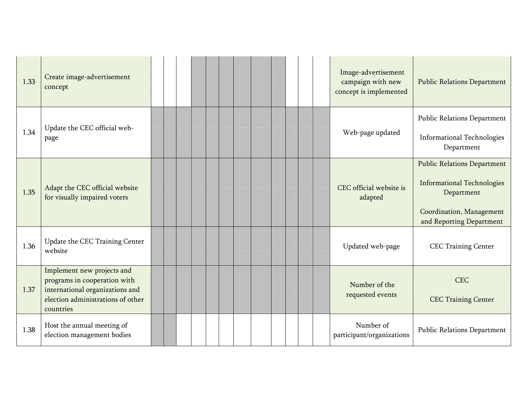| 1.33 | Create image-advertisement<br>concept                                                                                                           |  |  |  |  |  |  | Image-advertisement<br>campaign with new<br>concept is implemented | <b>Public Relations Department</b>                                                                                                            |
|------|-------------------------------------------------------------------------------------------------------------------------------------------------|--|--|--|--|--|--|--------------------------------------------------------------------|-----------------------------------------------------------------------------------------------------------------------------------------------|
| 1.34 | Update the CEC official web-<br>page                                                                                                            |  |  |  |  |  |  | Web-page updated                                                   | <b>Public Relations Department</b><br><b>Informational Technologies</b><br>Department                                                         |
| 1.35 | Adapt the CEC official website<br>for visually impaired voters                                                                                  |  |  |  |  |  |  | CEC official website is<br>adapted                                 | <b>Public Relations Department</b><br><b>Informational Technologies</b><br>Department<br>Coordination, Management<br>and Reporting Department |
| 1.36 | Update the CEC Training Center<br>website                                                                                                       |  |  |  |  |  |  | Updated web-page                                                   | <b>CEC Training Center</b>                                                                                                                    |
| 1.37 | Implement new projects and<br>programs in cooperation with<br>international organizations and<br>election administrations of other<br>countries |  |  |  |  |  |  | Number of the<br>requested events                                  | <b>CEC</b><br><b>CEC Training Center</b>                                                                                                      |
| 1.38 | Host the annual meeting of<br>election management bodies                                                                                        |  |  |  |  |  |  | Number of<br>participant/organizations                             | <b>Public Relations Department</b>                                                                                                            |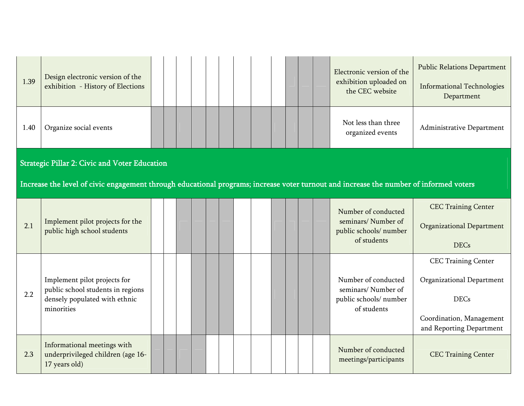| 1.39 | Design electronic version of the<br>exhibition - History of Elections                                                                  |  |  |  |  |  |  | Electronic version of the<br>exhibition uploaded on<br>the CEC website             | <b>Public Relations Department</b><br><b>Informational Technologies</b><br>Department                                          |
|------|----------------------------------------------------------------------------------------------------------------------------------------|--|--|--|--|--|--|------------------------------------------------------------------------------------|--------------------------------------------------------------------------------------------------------------------------------|
| 1.40 | Organize social events                                                                                                                 |  |  |  |  |  |  | Not less than three<br>organized events                                            | Administrative Department                                                                                                      |
|      | <b>Strategic Pillar 2: Civic and Voter Education</b>                                                                                   |  |  |  |  |  |  |                                                                                    |                                                                                                                                |
|      | Increase the level of civic engagement through educational programs; increase voter turnout and increase the number of informed voters |  |  |  |  |  |  |                                                                                    |                                                                                                                                |
| 2.1  | Implement pilot projects for the<br>public high school students                                                                        |  |  |  |  |  |  | Number of conducted<br>seminars/Number of<br>public schools/ number<br>of students | <b>CEC Training Center</b><br><b>Organizational Department</b><br><b>DECs</b>                                                  |
| 2.2  | Implement pilot projects for<br>public school students in regions<br>densely populated with ethnic<br>minorities                       |  |  |  |  |  |  | Number of conducted<br>seminars/Number of<br>public schools/ number<br>of students | <b>CEC Training Center</b><br>Organizational Department<br><b>DECs</b><br>Coordination, Management<br>and Reporting Department |
| 2.3  | Informational meetings with<br>underprivileged children (age 16-<br>17 years old)                                                      |  |  |  |  |  |  | Number of conducted<br>meetings/participants                                       | <b>CEC Training Center</b>                                                                                                     |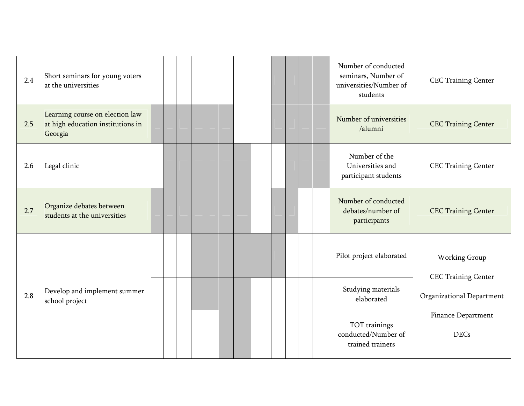| 2.4 | Short seminars for young voters<br>at the universities                          |  |  |  |  |  |  | Number of conducted<br>seminars, Number of<br>universities/Number of<br>students | <b>CEC Training Center</b>                  |
|-----|---------------------------------------------------------------------------------|--|--|--|--|--|--|----------------------------------------------------------------------------------|---------------------------------------------|
| 2.5 | Learning course on election law<br>at high education institutions in<br>Georgia |  |  |  |  |  |  | Number of universities<br>/alumni                                                | <b>CEC Training Center</b>                  |
| 2.6 | Legal clinic                                                                    |  |  |  |  |  |  | Number of the<br>Universities and<br>participant students                        | <b>CEC Training Center</b>                  |
| 2.7 | Organize debates between<br>students at the universities                        |  |  |  |  |  |  | Number of conducted<br>debates/number of<br>participants                         | <b>CEC Training Center</b>                  |
|     |                                                                                 |  |  |  |  |  |  | Pilot project elaborated                                                         | Working Group<br><b>CEC Training Center</b> |
| 2.8 | Develop and implement summer<br>school project                                  |  |  |  |  |  |  | Studying materials<br>elaborated                                                 | Organizational Department                   |
|     |                                                                                 |  |  |  |  |  |  | TOT trainings<br>conducted/Number of<br>trained trainers                         | Finance Department<br><b>DECs</b>           |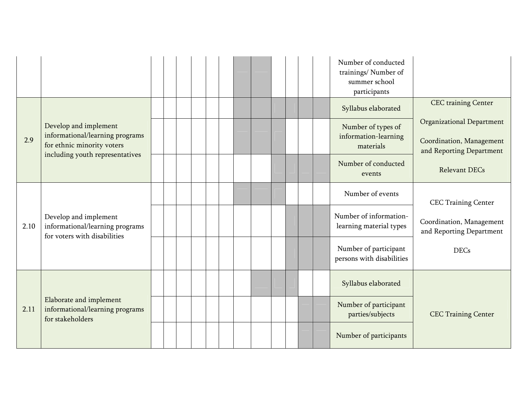|      |                                                                                                  |  |  |  |  |  | Number of conducted<br>trainings/Number of<br>summer school<br>participants |                                                      |
|------|--------------------------------------------------------------------------------------------------|--|--|--|--|--|-----------------------------------------------------------------------------|------------------------------------------------------|
|      |                                                                                                  |  |  |  |  |  | Syllabus elaborated                                                         | <b>CEC</b> training Center                           |
|      | Develop and implement                                                                            |  |  |  |  |  | Number of types of                                                          | <b>Organizational Department</b>                     |
| 2.9  | informational/learning programs<br>for ethnic minority voters<br>including youth representatives |  |  |  |  |  | information-learning<br>materials                                           | Coordination, Management<br>and Reporting Department |
|      |                                                                                                  |  |  |  |  |  | Number of conducted<br>events                                               | <b>Relevant DECs</b>                                 |
|      |                                                                                                  |  |  |  |  |  | Number of events                                                            | <b>CEC Training Center</b>                           |
| 2.10 | Develop and implement<br>informational/learning programs<br>for voters with disabilities         |  |  |  |  |  | Number of information-<br>learning material types                           | Coordination, Management<br>and Reporting Department |
|      |                                                                                                  |  |  |  |  |  | Number of participant<br>persons with disabilities                          | <b>DECs</b>                                          |
|      |                                                                                                  |  |  |  |  |  | Syllabus elaborated                                                         |                                                      |
| 2.11 | Elaborate and implement<br>informational/learning programs<br>for stakeholders                   |  |  |  |  |  | Number of participant<br>parties/subjects                                   | <b>CEC Training Center</b>                           |
|      |                                                                                                  |  |  |  |  |  | Number of participants                                                      |                                                      |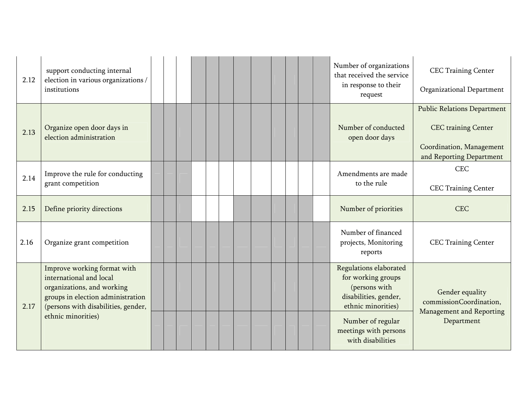| 2.12 | support conducting internal<br>election in various organizations /<br>institutions                                                                               |  |  |  | Number of organizations<br>that received the service<br>in response to their<br>request                      | <b>CEC Training Center</b><br>Organizational Department                       |
|------|------------------------------------------------------------------------------------------------------------------------------------------------------------------|--|--|--|--------------------------------------------------------------------------------------------------------------|-------------------------------------------------------------------------------|
|      |                                                                                                                                                                  |  |  |  |                                                                                                              | <b>Public Relations Department</b>                                            |
| 2.13 | Organize open door days in<br>election administration                                                                                                            |  |  |  | Number of conducted<br>open door days                                                                        | <b>CEC</b> training Center<br>Coordination, Management                        |
|      |                                                                                                                                                                  |  |  |  |                                                                                                              | and Reporting Department                                                      |
| 2.14 | Improve the rule for conducting                                                                                                                                  |  |  |  | Amendments are made                                                                                          | <b>CEC</b>                                                                    |
|      | grant competition                                                                                                                                                |  |  |  | to the rule                                                                                                  | <b>CEC Training Center</b>                                                    |
| 2.15 | Define priority directions                                                                                                                                       |  |  |  | Number of priorities                                                                                         | <b>CEC</b>                                                                    |
| 2.16 | Organize grant competition                                                                                                                                       |  |  |  | Number of financed<br>projects, Monitoring<br>reports                                                        | <b>CEC Training Center</b>                                                    |
| 2.17 | Improve working format with<br>international and local<br>organizations, and working<br>groups in election administration<br>(persons with disabilities, gender, |  |  |  | Regulations elaborated<br>for working groups<br>(persons with<br>disabilities, gender,<br>ethnic minorities) | Gender equality<br>commissionCoordination,<br><b>Management and Reporting</b> |
|      | ethnic minorities)                                                                                                                                               |  |  |  | Number of regular<br>meetings with persons<br>with disabilities                                              | Department                                                                    |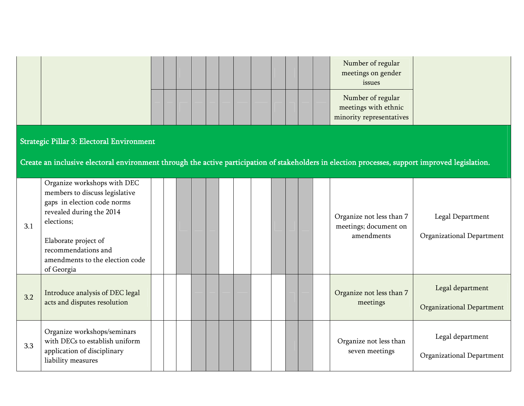|     |                                                                                                                                                                                                                                        |  |  |  |  |  |  | Number of regular<br>meetings on gender<br>issues                     |                                                      |
|-----|----------------------------------------------------------------------------------------------------------------------------------------------------------------------------------------------------------------------------------------|--|--|--|--|--|--|-----------------------------------------------------------------------|------------------------------------------------------|
|     |                                                                                                                                                                                                                                        |  |  |  |  |  |  | Number of regular<br>meetings with ethnic<br>minority representatives |                                                      |
|     | <b>Strategic Pillar 3: Electoral Environment</b><br>Create an inclusive electoral environment through the active participation of stakeholders in election processes, support improved legislation.                                    |  |  |  |  |  |  |                                                                       |                                                      |
| 3.1 | Organize workshops with DEC<br>members to discuss legislative<br>gaps in election code norms<br>revealed during the 2014<br>elections;<br>Elaborate project of<br>recommendations and<br>amendments to the election code<br>of Georgia |  |  |  |  |  |  | Organize not less than 7<br>meetings; document on<br>amendments       | Legal Department<br>Organizational Department        |
| 3.2 | Introduce analysis of DEC legal<br>acts and disputes resolution                                                                                                                                                                        |  |  |  |  |  |  | Organize not less than 7<br>meetings                                  | Legal department<br><b>Organizational Department</b> |
| 3.3 | Organize workshops/seminars<br>with DECs to establish uniform<br>application of disciplinary<br>liability measures                                                                                                                     |  |  |  |  |  |  | Organize not less than<br>seven meetings                              | Legal department<br>Organizational Department        |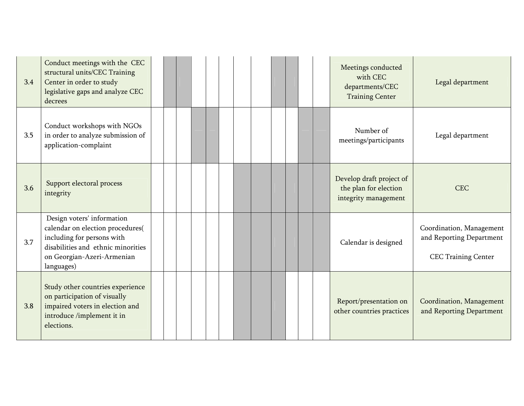| 3.4 | Conduct meetings with the CEC<br>structural units/CEC Training<br>Center in order to study<br>legislative gaps and analyze CEC<br>decrees                                      |  |  |  |  |  | Meetings conducted<br>with CEC<br>departments/CEC<br><b>Training Center</b> | Legal department                                                                   |
|-----|--------------------------------------------------------------------------------------------------------------------------------------------------------------------------------|--|--|--|--|--|-----------------------------------------------------------------------------|------------------------------------------------------------------------------------|
| 3.5 | Conduct workshops with NGOs<br>in order to analyze submission of<br>application-complaint                                                                                      |  |  |  |  |  | Number of<br>meetings/participants                                          | Legal department                                                                   |
| 3.6 | Support electoral process<br>integrity                                                                                                                                         |  |  |  |  |  | Develop draft project of<br>the plan for election<br>integrity management   | <b>CEC</b>                                                                         |
| 3.7 | Design voters' information<br>calendar on election procedures(<br>including for persons with<br>disabilities and ethnic minorities<br>on Georgian-Azeri-Armenian<br>languages) |  |  |  |  |  | Calendar is designed                                                        | Coordination, Management<br>and Reporting Department<br><b>CEC Training Center</b> |
| 3.8 | Study other countries experience<br>on participation of visually<br>impaired voters in election and<br>introduce /implement it in<br>elections.                                |  |  |  |  |  | Report/presentation on<br>other countries practices                         | Coordination, Management<br>and Reporting Department                               |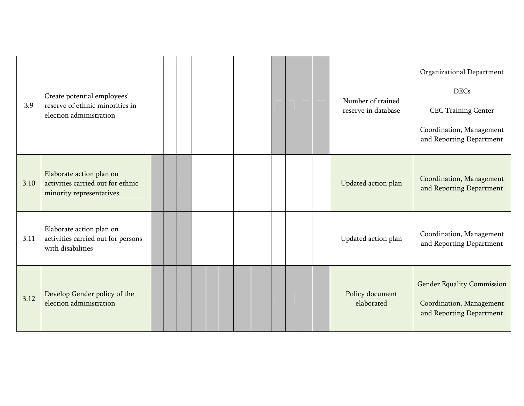| 3.9  | Create potential employees'<br>reserve of ethnic minorities in<br>election administration |  |  |  |  |  |  | Number of trained<br>reserve in database | Organizational Department<br><b>DECs</b><br><b>CEC Training Center</b><br>Coordination, Management<br>and Reporting Department |
|------|-------------------------------------------------------------------------------------------|--|--|--|--|--|--|------------------------------------------|--------------------------------------------------------------------------------------------------------------------------------|
| 3.10 | Elaborate action plan on<br>activities carried out for ethnic<br>minority representatives |  |  |  |  |  |  | Updated action plan                      | Coordination, Management<br>and Reporting Department                                                                           |
| 3.11 | Elaborate action plan on<br>activities carried out for persons<br>with disabilities       |  |  |  |  |  |  | Updated action plan                      | Coordination, Management<br>and Reporting Department                                                                           |
| 3.12 | Develop Gender policy of the<br>election administration                                   |  |  |  |  |  |  | Policy document<br>elaborated            | <b>Gender Equality Commission</b><br>Coordination, Management<br>and Reporting Department                                      |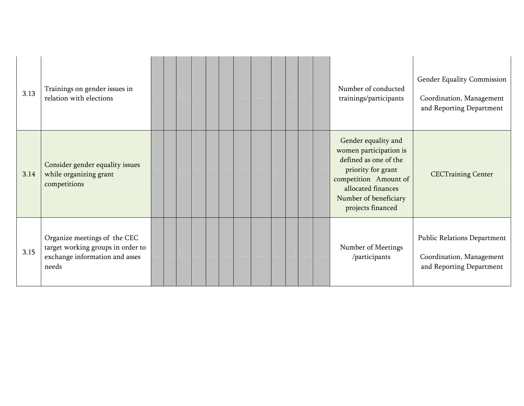| 3.13 | Trainings on gender issues in<br>relation with elections                                                     |  |  |  |  | Number of conducted<br>trainings/participants                                                                                                                                             | Gender Equality Commission<br>Coordination, Management<br>and Reporting Department  |
|------|--------------------------------------------------------------------------------------------------------------|--|--|--|--|-------------------------------------------------------------------------------------------------------------------------------------------------------------------------------------------|-------------------------------------------------------------------------------------|
| 3.14 | Consider gender equality issues<br>while organizing grant<br>competitions                                    |  |  |  |  | Gender equality and<br>women participation is<br>defined as one of the<br>priority for grant<br>competition Amount of<br>allocated finances<br>Number of beneficiary<br>projects financed | <b>CECTraining Center</b>                                                           |
| 3.15 | Organize meetings of the CEC<br>target working groups in order to<br>exchange information and asses<br>needs |  |  |  |  | Number of Meetings<br>/participants                                                                                                                                                       | Public Relations Department<br>Coordination, Management<br>and Reporting Department |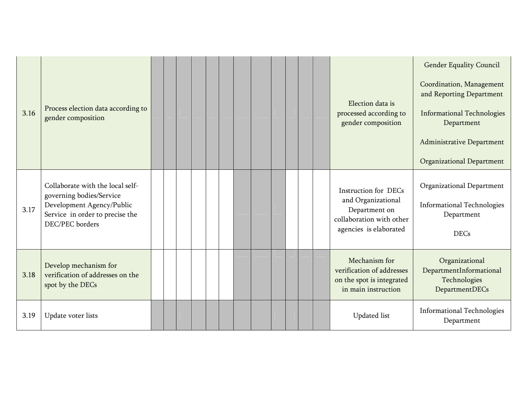| 3.16 | Process election data according to<br>gender composition                                                                                        |  |  |  |  |  |  | Election data is<br>processed according to<br>gender composition                                                         | <b>Gender Equality Council</b><br>Coordination, Management<br>and Reporting Department<br><b>Informational Technologies</b><br>Department<br>Administrative Department<br>Organizational Department |
|------|-------------------------------------------------------------------------------------------------------------------------------------------------|--|--|--|--|--|--|--------------------------------------------------------------------------------------------------------------------------|-----------------------------------------------------------------------------------------------------------------------------------------------------------------------------------------------------|
| 3.17 | Collaborate with the local self-<br>governing bodies/Service<br>Development Agency/Public<br>Service in order to precise the<br>DEC/PEC borders |  |  |  |  |  |  | <b>Instruction for DECs</b><br>and Organizational<br>Department on<br>collaboration with other<br>agencies is elaborated | Organizational Department<br><b>Informational Technologies</b><br>Department<br><b>DECs</b>                                                                                                         |
| 3.18 | Develop mechanism for<br>verification of addresses on the<br>spot by the DECs                                                                   |  |  |  |  |  |  | Mechanism for<br>verification of addresses<br>on the spot is integrated<br>in main instruction                           | Organizational<br>DepartmentInformational<br>Technologies<br>DepartmentDECs                                                                                                                         |
| 3.19 | Update voter lists                                                                                                                              |  |  |  |  |  |  | <b>Updated</b> list                                                                                                      | <b>Informational Technologies</b><br>Department                                                                                                                                                     |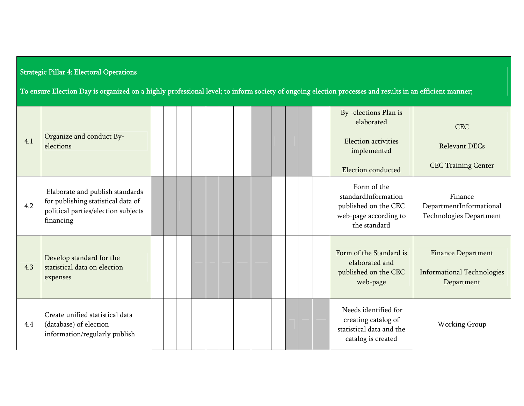## Strategic Pillar 4: Electoral Operations

To ensure Election Day is organized on a highly professional level; to inform society of ongoing election processes and results in an efficient manner;

| 4.1 | Organize and conduct By-<br>elections                                                                                     |  |  |  |  |  |  | By -elections Plan is<br>elaborated<br>Election activities<br>implemented<br>Election conducted     | <b>CEC</b><br><b>Relevant DECs</b><br><b>CEC Training Center</b>             |
|-----|---------------------------------------------------------------------------------------------------------------------------|--|--|--|--|--|--|-----------------------------------------------------------------------------------------------------|------------------------------------------------------------------------------|
| 4.2 | Elaborate and publish standards<br>for publishing statistical data of<br>political parties/election subjects<br>financing |  |  |  |  |  |  | Form of the<br>standardInformation<br>published on the CEC<br>web-page according to<br>the standard | Finance<br>DepartmentInformational<br>Technologies Department                |
| 4.3 | Develop standard for the<br>statistical data on election<br>expenses                                                      |  |  |  |  |  |  | Form of the Standard is<br>elaborated and<br>published on the CEC<br>web-page                       | <b>Finance Department</b><br><b>Informational Technologies</b><br>Department |
| 4.4 | Create unified statistical data<br>(database) of election<br>information/regularly publish                                |  |  |  |  |  |  | Needs identified for<br>creating catalog of<br>statistical data and the<br>catalog is created       | Working Group                                                                |